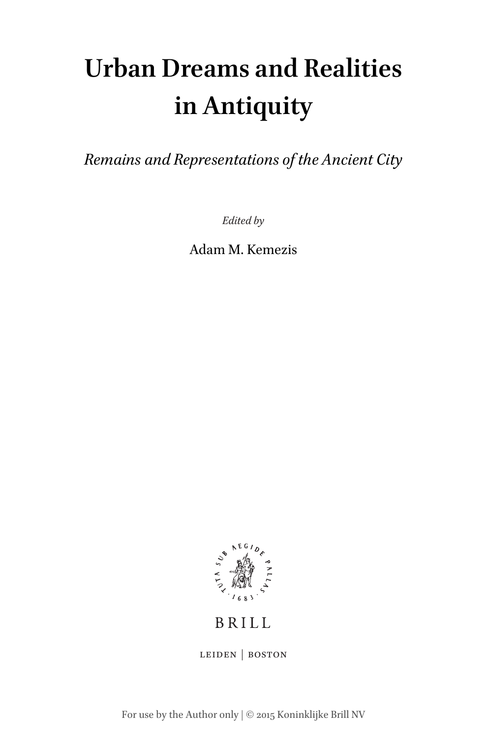# **Urban Dreams and Realities in Antiquity**

*Remains and Representations of the Ancient City*

*Edited by*

Adam M. Kemezis



# BRILL

leiden | boston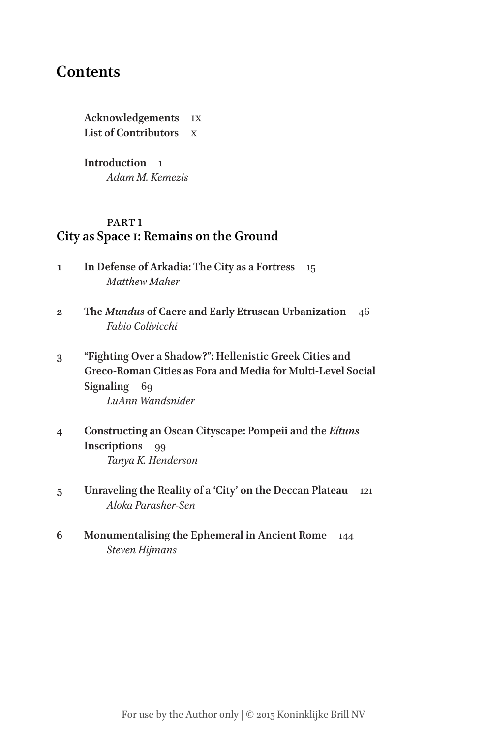## **Contents**

**Acknowledgements** ix **List of Contributors** x

**Introduction** 1 *Adam M. Kemezis*

#### part 1 **City as Space i: Remains on the Ground**

- **1 In Defense of Arkadia: The City as a Fortress** 15 *Matthew Maher*
- **2 The** *Mundus* **of Caere and Early Etruscan Urbanization** 46 *Fabio Colivicchi*
- **3 "Fighting Over a Shadow?": Hellenistic Greek Cities and Greco-Roman Cities as Fora and Media for Multi-Level Social Signaling** 69 *LuAnn Wandsnider*
- **4 Constructing an Oscan Cityscape: Pompeii and the** *Eítuns* **Inscriptions** 99 *Tanya K. Henderson*
- **5 Unraveling the Reality of a 'City' on the Deccan Plateau** 121 *Aloka Parasher-Sen*
- **6 Monumentalising the Ephemeral in Ancient Rome** 144 *Steven Hijmans*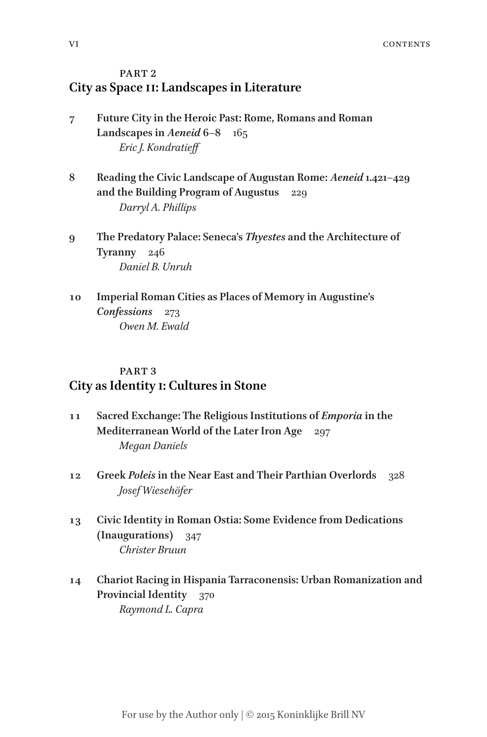#### PART<sub>2</sub> **City as Space ii: Landscapes in Literature**

- **7 Future City in the Heroic Past: Rome, Romans and Roman Landscapes in** *Aeneid* **6–8** 165 *Eric J. Kondratieff*
- **8 Reading the Civic Landscape of Augustan Rome:** *Aeneid* **1.421–429 and the Building Program of Augustus** 229 *Darryl A. Phillips*
- **9 The Predatory Palace: Seneca's** *Thyestes* **and the Architecture of Tyranny** 246 *Daniel B. Unruh*
- **10 Imperial Roman Cities as Places of Memory in Augustine's** *Confessions* 273 *Owen M. Ewald*

### part 3 **City as Identity i: Cultures in Stone**

- **11 Sacred Exchange: The Religious Institutions of** *Emporia* **in the Mediterranean World of the Later Iron Age** 297 *Megan Daniels*
- **12 Greek** *Poleis* **in the Near East and Their Parthian Overlords** 328 *Josef Wiesehöfer*
- **13 Civic Identity in Roman Ostia: Some Evidence from Dedications (Inaugurations)** 347 *Christer Bruun*
- **14 Chariot Racing in Hispania Tarraconensis: Urban Romanization and Provincial Identity** 370 *Raymond L. Capra*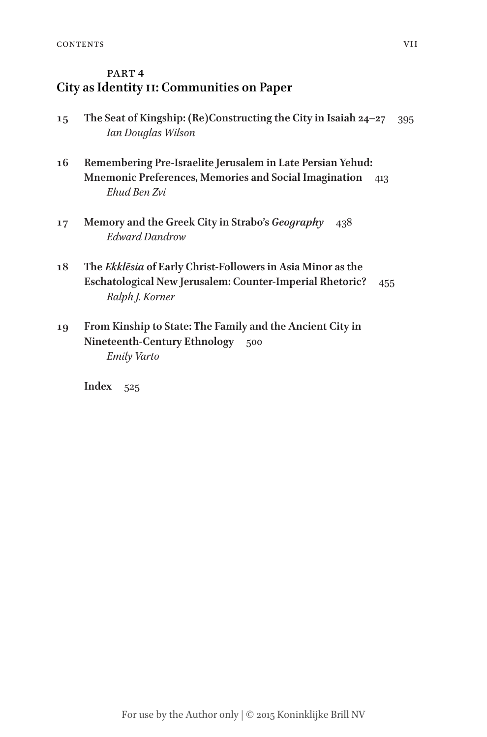## PART<sub>4</sub> **City as Identity ii: Communities on Paper**

- **15 The Seat of Kingship: (Re)Constructing the City in Isaiah 24–27** 395 *Ian Douglas Wilson*
- **16 Remembering Pre-Israelite Jerusalem in Late Persian Yehud: Mnemonic Preferences, Memories and Social Imagination** 413 *Ehud Ben Zvi*
- **17 Memory and the Greek City in Strabo's** *Geography* 438 *Edward Dandrow*
- **18 The** *Ekklēsia* **of Early Christ-Followers in Asia Minor as the Eschatological New Jerusalem: Counter-Imperial Rhetoric?** 455 *Ralph J. Korner*
- **19 From Kinship to State: The Family and the Ancient City in Nineteenth-Century Ethnology** 500 *Emily Varto*

**Index** 525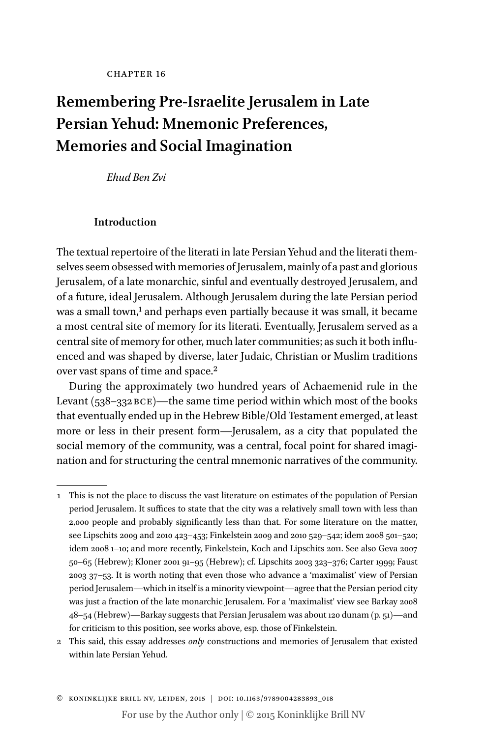# **Remembering Pre-Israelite Jerusalem in Late Persian Yehud: Mnemonic Preferences, Memories and Social Imagination**

*Ehud Ben Zvi*

#### **Introduction**

The textual repertoire of the literati in late Persian Yehud and the literati themselves seem obsessed with memories of Jerusalem, mainly of a past and glorious Jerusalem, of a late monarchic, sinful and eventually destroyed Jerusalem, and of a future, ideal Jerusalem. Although Jerusalem during the late Persian period was a small town,<sup>1</sup> and perhaps even partially because it was small, it became a most central site of memory for its literati. Eventually, Jerusalem served as a central site of memory for other, much later communities; as such it both influenced and was shaped by diverse, later Judaic, Christian or Muslim traditions over vast spans of time and space.2

During the approximately two hundred years of Achaemenid rule in the Levant  $(538-332BCE)$ —the same time period within which most of the books that eventually ended up in the Hebrew Bible/Old Testament emerged, at least more or less in their present form—Jerusalem, as a city that populated the social memory of the community, was a central, focal point for shared imagination and for structuring the central mnemonic narratives of the community.

<sup>1</sup> This is not the place to discuss the vast literature on estimates of the population of Persian period Jerusalem. It suffices to state that the city was a relatively small town with less than 2,000 people and probably significantly less than that. For some literature on the matter, see Lipschits 2009 and 2010 423–453; Finkelstein 2009 and 2010 529–542; idem 2008 501–520; idem 2008 1–10; and more recently, Finkelstein, Koch and Lipschits 2011. See also Geva 2007 50–65 (Hebrew); Kloner 2001 91–95 (Hebrew); cf. Lipschits 2003 323–376; Carter 1999; Faust 2003 37–53. It is worth noting that even those who advance a 'maximalist' view of Persian period Jerusalem—which in itself is a minority viewpoint—agree that the Persian period city was just a fraction of the late monarchic Jerusalem. For a 'maximalist' view see Barkay 2008 48–54 (Hebrew)—Barkay suggests that Persian Jerusalem was about 120 dunam (p. 51)—and for criticism to this position, see works above, esp. those of Finkelstein.

<sup>2</sup> This said, this essay addresses *only* constructions and memories of Jerusalem that existed within late Persian Yehud.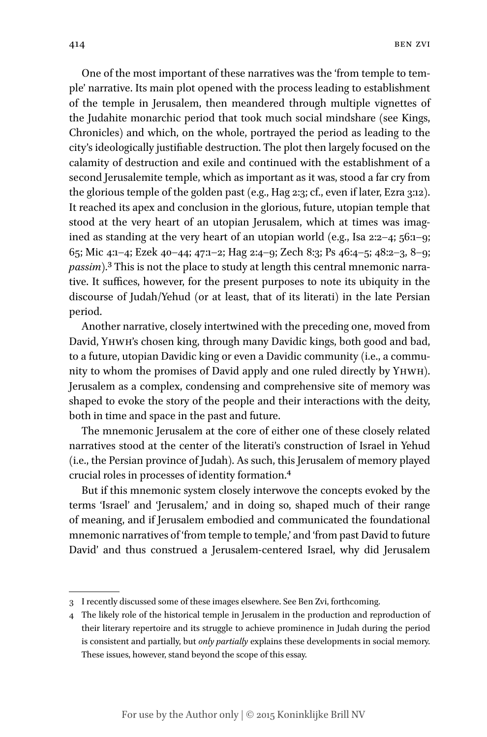One of the most important of these narratives was the 'from temple to temple' narrative. Its main plot opened with the process leading to establishment of the temple in Jerusalem, then meandered through multiple vignettes of the Judahite monarchic period that took much social mindshare (see Kings, Chronicles) and which, on the whole, portrayed the period as leading to the city's ideologically justifiable destruction. The plot then largely focused on the calamity of destruction and exile and continued with the establishment of a second Jerusalemite temple, which as important as it was, stood a far cry from the glorious temple of the golden past (e.g., Hag 2:3; cf., even if later, Ezra 3:12). It reached its apex and conclusion in the glorious, future, utopian temple that stood at the very heart of an utopian Jerusalem, which at times was imagined as standing at the very heart of an utopian world (e.g., Isa 2:2–4; 56:1–9; 65; Mic 4:1–4; Ezek 40–44; 47:1–2; Hag 2:4–9; Zech 8:3; Ps 46:4–5; 48:2–3, 8–9; *passim*).3 This is not the place to study at length this central mnemonic narrative. It suffices, however, for the present purposes to note its ubiquity in the discourse of Judah/Yehud (or at least, that of its literati) in the late Persian period.

Another narrative, closely intertwined with the preceding one, moved from David, Yhwh's chosen king, through many Davidic kings, both good and bad, to a future, utopian Davidic king or even a Davidic community (i.e., a community to whom the promises of David apply and one ruled directly by Yhwh). Jerusalem as a complex, condensing and comprehensive site of memory was shaped to evoke the story of the people and their interactions with the deity, both in time and space in the past and future.

The mnemonic Jerusalem at the core of either one of these closely related narratives stood at the center of the literati's construction of Israel in Yehud (i.e., the Persian province of Judah). As such, this Jerusalem of memory played crucial roles in processes of identity formation.4

But if this mnemonic system closely interwove the concepts evoked by the terms 'Israel' and 'Jerusalem,' and in doing so, shaped much of their range of meaning, and if Jerusalem embodied and communicated the foundational mnemonic narratives of 'from temple to temple,' and 'from past David to future David' and thus construed a Jerusalem-centered Israel, why did Jerusalem

<sup>3</sup> I recently discussed some of these images elsewhere. See Ben Zvi, forthcoming.

<sup>4</sup> The likely role of the historical temple in Jerusalem in the production and reproduction of their literary repertoire and its struggle to achieve prominence in Judah during the period is consistent and partially, but *only partially* explains these developments in social memory. These issues, however, stand beyond the scope of this essay.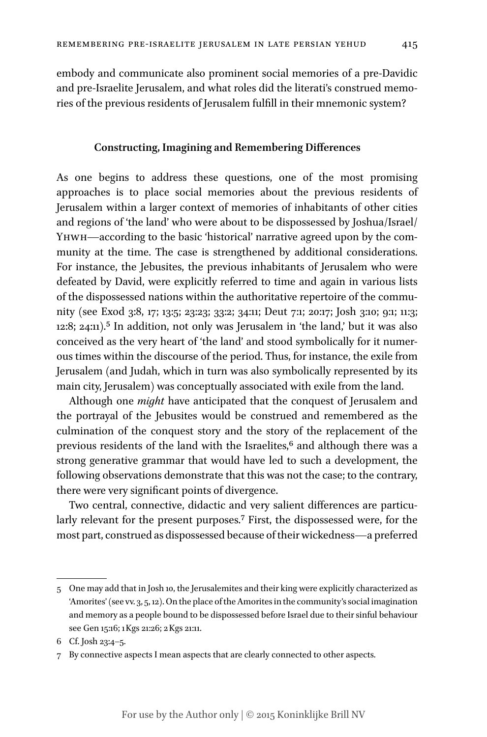embody and communicate also prominent social memories of a pre-Davidic and pre-Israelite Jerusalem, and what roles did the literati's construed memories of the previous residents of Jerusalem fulfill in their mnemonic system?

#### **Constructing, Imagining and Remembering Differences**

As one begins to address these questions, one of the most promising approaches is to place social memories about the previous residents of Jerusalem within a larger context of memories of inhabitants of other cities and regions of 'the land' who were about to be dispossessed by Joshua/Israel/ Yhwh—according to the basic 'historical' narrative agreed upon by the community at the time. The case is strengthened by additional considerations. For instance, the Jebusites, the previous inhabitants of Jerusalem who were defeated by David, were explicitly referred to time and again in various lists of the dispossessed nations within the authoritative repertoire of the community (see Exod 3:8, 17; 13:5; 23:23; 33:2; 34:11; Deut 7:1; 20:17; Josh 3:10; 9:1; 11:3; 12:8; 24:11).5 In addition, not only was Jerusalem in 'the land,' but it was also conceived as the very heart of 'the land' and stood symbolically for it numerous times within the discourse of the period. Thus, for instance, the exile from Jerusalem (and Judah, which in turn was also symbolically represented by its main city, Jerusalem) was conceptually associated with exile from the land.

Although one *might* have anticipated that the conquest of Jerusalem and the portrayal of the Jebusites would be construed and remembered as the culmination of the conquest story and the story of the replacement of the previous residents of the land with the Israelites,<sup>6</sup> and although there was a strong generative grammar that would have led to such a development, the following observations demonstrate that this was not the case; to the contrary, there were very significant points of divergence.

Two central, connective, didactic and very salient differences are particularly relevant for the present purposes.<sup>7</sup> First, the dispossessed were, for the most part, construed as dispossessed because of their wickedness—a preferred

<sup>5</sup> One may add that in Josh 10, the Jerusalemites and their king were explicitly characterized as 'Amorites' (see vv. 3, 5,12). On the place of the Amorites in the community's social imagination and memory as a people bound to be dispossessed before Israel due to their sinful behaviour see Gen 15:16; 1Kgs 21:26; 2Kgs 21:11.

<sup>6</sup> Cf. Josh 23:4–5.

<sup>7</sup> By connective aspects I mean aspects that are clearly connected to other aspects.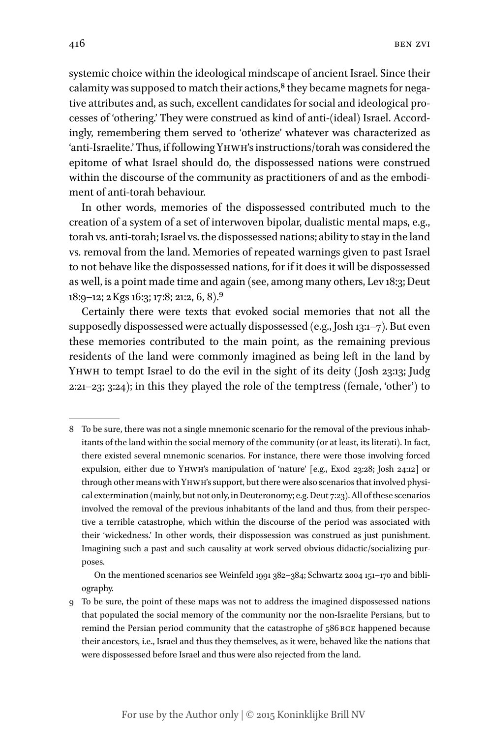systemic choice within the ideological mindscape of ancient Israel. Since their calamity was supposed to match their actions,<sup>8</sup> they became magnets for negative attributes and, as such, excellent candidates for social and ideological processes of 'othering.' They were construed as kind of anti-(ideal) Israel. Accordingly, remembering them served to 'otherize' whatever was characterized as 'anti-Israelite.' Thus, if following Yhwh's instructions/torah was considered the epitome of what Israel should do, the dispossessed nations were construed within the discourse of the community as practitioners of and as the embodiment of anti-torah behaviour.

In other words, memories of the dispossessed contributed much to the creation of a system of a set of interwoven bipolar, dualistic mental maps, e.g., torah vs. anti-torah;Israel vs. the dispossessed nations; ability to stay in the land vs. removal from the land. Memories of repeated warnings given to past Israel to not behave like the dispossessed nations, for if it does it will be dispossessed as well, is a point made time and again (see, among many others, Lev 18:3; Deut  $18:9-12$ ;  $2$  Kgs  $16:3$ ;  $17:8$ ;  $21:2, 6, 8$ ).<sup>9</sup>

Certainly there were texts that evoked social memories that not all the supposedly dispossessed were actually dispossessed (e.g., Josh 13:1–7). But even these memories contributed to the main point, as the remaining previous residents of the land were commonly imagined as being left in the land by Yhwh to tempt Israel to do the evil in the sight of its deity (Josh 23:13; Judg 2:21–23; 3:24); in this they played the role of the temptress (female, 'other') to

On the mentioned scenarios see Weinfeld 1991 382–384; Schwartz 2004 151–170 and bibliography.

9 To be sure, the point of these maps was not to address the imagined dispossessed nations that populated the social memory of the community nor the non-Israelite Persians, but to remind the Persian period community that the catastrophe of 586 BCE happened because their ancestors, i.e., Israel and thus they themselves, as it were, behaved like the nations that were dispossessed before Israel and thus were also rejected from the land.

<sup>8</sup> To be sure, there was not a single mnemonic scenario for the removal of the previous inhabitants of the land within the social memory of the community (or at least, its literati). In fact, there existed several mnemonic scenarios. For instance, there were those involving forced expulsion, either due to Yhwh's manipulation of 'nature' [e.g., Exod 23:28; Josh 24:12] or through other means with Yhwh's support, but there were also scenarios that involved physical extermination (mainly, but not only, in Deuteronomy; e.g. Deut 7:23). All of these scenarios involved the removal of the previous inhabitants of the land and thus, from their perspective a terrible catastrophe, which within the discourse of the period was associated with their 'wickedness.' In other words, their dispossession was construed as just punishment. Imagining such a past and such causality at work served obvious didactic/socializing purposes.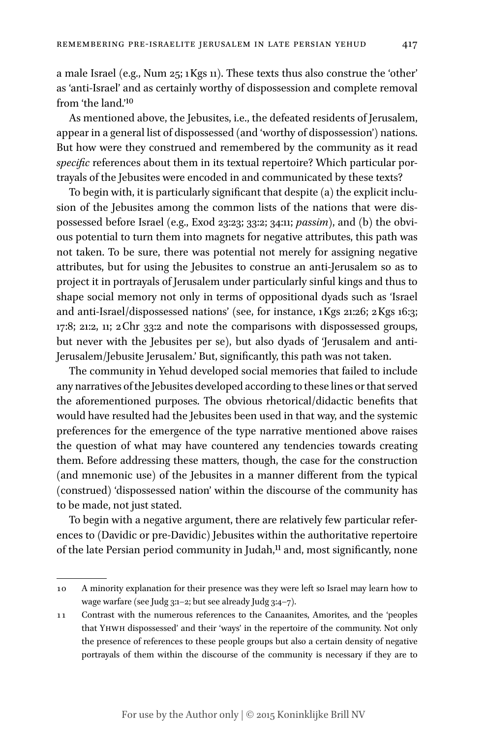a male Israel (e.g., Num 25; 1Kgs 11). These texts thus also construe the 'other' as 'anti-Israel' and as certainly worthy of dispossession and complete removal from 'the land.'<sup>10</sup>

As mentioned above, the Jebusites, i.e., the defeated residents of Jerusalem, appear in a general list of dispossessed (and 'worthy of dispossession') nations. But how were they construed and remembered by the community as it read *specific* references about them in its textual repertoire? Which particular portrayals of the Jebusites were encoded in and communicated by these texts?

To begin with, it is particularly significant that despite (a) the explicit inclusion of the Jebusites among the common lists of the nations that were dispossessed before Israel (e.g., Exod 23:23; 33:2; 34:11; *passim*), and (b) the obvious potential to turn them into magnets for negative attributes, this path was not taken. To be sure, there was potential not merely for assigning negative attributes, but for using the Jebusites to construe an anti-Jerusalem so as to project it in portrayals of Jerusalem under particularly sinful kings and thus to shape social memory not only in terms of oppositional dyads such as 'Israel and anti-Israel/dispossessed nations' (see, for instance, 1Kgs 21:26; 2Kgs 16:3; 17:8; 21:2, 11; 2Chr 33:2 and note the comparisons with dispossessed groups, but never with the Jebusites per se), but also dyads of 'Jerusalem and anti-Jerusalem/Jebusite Jerusalem.' But, significantly, this path was not taken.

The community in Yehud developed social memories that failed to include any narratives of the Jebusites developed according to these lines or that served the aforementioned purposes. The obvious rhetorical/didactic benefits that would have resulted had the Jebusites been used in that way, and the systemic preferences for the emergence of the type narrative mentioned above raises the question of what may have countered any tendencies towards creating them. Before addressing these matters, though, the case for the construction (and mnemonic use) of the Jebusites in a manner different from the typical (construed) 'dispossessed nation' within the discourse of the community has to be made, not just stated.

To begin with a negative argument, there are relatively few particular references to (Davidic or pre-Davidic) Jebusites within the authoritative repertoire of the late Persian period community in Judah,<sup>11</sup> and, most significantly, none

<sup>10</sup> A minority explanation for their presence was they were left so Israel may learn how to wage warfare (see Judg 3:1–2; but see already Judg 3:4–7).

<sup>11</sup> Contrast with the numerous references to the Canaanites, Amorites, and the 'peoples that Yhwh dispossessed' and their 'ways' in the repertoire of the community. Not only the presence of references to these people groups but also a certain density of negative portrayals of them within the discourse of the community is necessary if they are to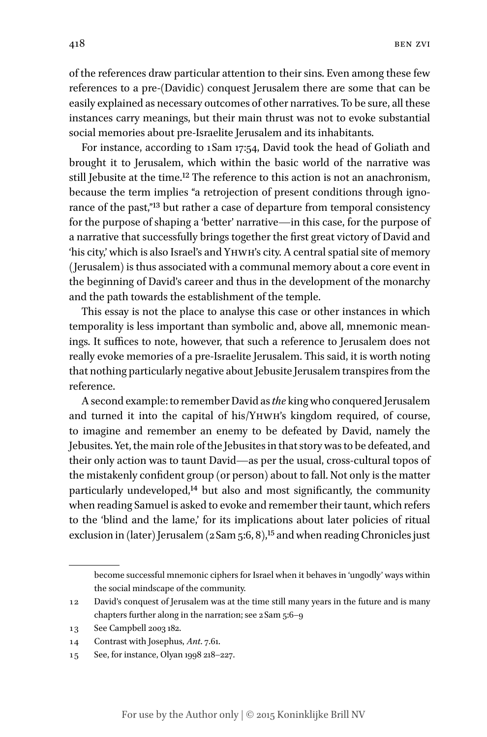of the references draw particular attention to their sins. Even among these few references to a pre-(Davidic) conquest Jerusalem there are some that can be easily explained as necessary outcomes of other narratives. To be sure, all these instances carry meanings, but their main thrust was not to evoke substantial social memories about pre-Israelite Jerusalem and its inhabitants.

For instance, according to 1Sam 17:54, David took the head of Goliath and brought it to Jerusalem, which within the basic world of the narrative was still Jebusite at the time.12 The reference to this action is not an anachronism, because the term implies "a retrojection of present conditions through ignorance of the past,"13 but rather a case of departure from temporal consistency for the purpose of shaping a 'better' narrative—in this case, for the purpose of a narrative that successfully brings together the first great victory of David and 'his city,' which is also Israel's and Yhwh's city. A central spatial site of memory (Jerusalem) is thus associated with a communal memory about a core event in the beginning of David's career and thus in the development of the monarchy and the path towards the establishment of the temple.

This essay is not the place to analyse this case or other instances in which temporality is less important than symbolic and, above all, mnemonic meanings. It suffices to note, however, that such a reference to Jerusalem does not really evoke memories of a pre-Israelite Jerusalem. This said, it is worth noting that nothing particularly negative about Jebusite Jerusalem transpires from the reference.

A second example: to remember David as*the* king who conquered Jerusalem and turned it into the capital of his/YHWH's kingdom required, of course, to imagine and remember an enemy to be defeated by David, namely the Jebusites. Yet, the main role of the Jebusites in that story was to be defeated, and their only action was to taunt David—as per the usual, cross-cultural topos of the mistakenly confident group (or person) about to fall. Not only is the matter particularly undeveloped,<sup>14</sup> but also and most significantly, the community when reading Samuel is asked to evoke and remember their taunt, which refers to the 'blind and the lame,' for its implications about later policies of ritual exclusion in (later) Jerusalem ( $2\,\mathrm{Sam}$  5:6, 8),<sup>15</sup> and when reading Chronicles just

become successful mnemonic ciphers for Israel when it behaves in 'ungodly' ways within the social mindscape of the community.

<sup>12</sup> David's conquest of Jerusalem was at the time still many years in the future and is many chapters further along in the narration; see 2Sam 5:6–9

<sup>13</sup> See Campbell 2003 182.

<sup>14</sup> Contrast with Josephus, *Ant*. 7.61.

<sup>15</sup> See, for instance, Olyan 1998 218–227.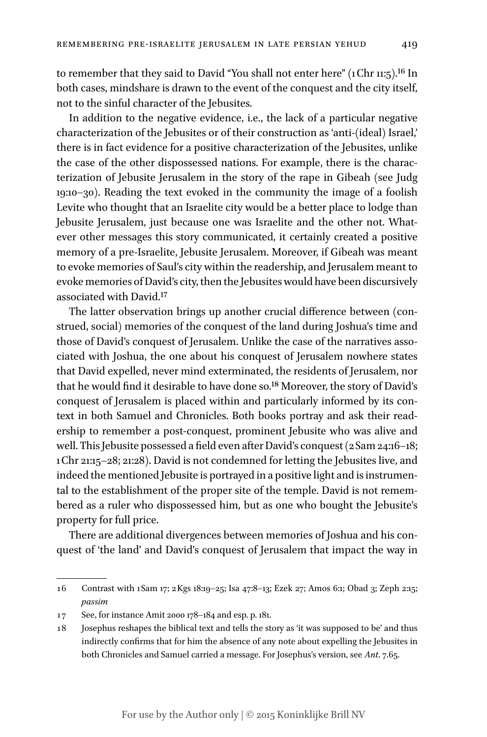to remember that they said to David "You shall not enter here" (1 Chr 11:5).<sup>16</sup> In both cases, mindshare is drawn to the event of the conquest and the city itself, not to the sinful character of the Jebusites.

In addition to the negative evidence, i.e., the lack of a particular negative characterization of the Jebusites or of their construction as 'anti-(ideal) Israel,' there is in fact evidence for a positive characterization of the Jebusites, unlike the case of the other dispossessed nations. For example, there is the characterization of Jebusite Jerusalem in the story of the rape in Gibeah (see Judg 19:10–30). Reading the text evoked in the community the image of a foolish Levite who thought that an Israelite city would be a better place to lodge than Jebusite Jerusalem, just because one was Israelite and the other not. Whatever other messages this story communicated, it certainly created a positive memory of a pre-Israelite, Jebusite Jerusalem. Moreover, if Gibeah was meant to evoke memories of Saul's city within the readership, and Jerusalem meant to evoke memories of David's city, then the Jebusites would have been discursively associated with David.17

The latter observation brings up another crucial difference between (construed, social) memories of the conquest of the land during Joshua's time and those of David's conquest of Jerusalem. Unlike the case of the narratives associated with Joshua, the one about his conquest of Jerusalem nowhere states that David expelled, never mind exterminated, the residents of Jerusalem, nor that he would find it desirable to have done so.<sup>18</sup> Moreover, the story of David's conquest of Jerusalem is placed within and particularly informed by its context in both Samuel and Chronicles. Both books portray and ask their readership to remember a post-conquest, prominent Jebusite who was alive and well. This Jebusite possessed a field even after David's conquest (2Sam 24:16–18; 1Chr 21:15–28; 21:28). David is not condemned for letting the Jebusites live, and indeed the mentioned Jebusite is portrayed in a positive light and is instrumental to the establishment of the proper site of the temple. David is not remembered as a ruler who dispossessed him, but as one who bought the Jebusite's property for full price.

There are additional divergences between memories of Joshua and his conquest of 'the land' and David's conquest of Jerusalem that impact the way in

<sup>16</sup> Contrast with 1Sam 17; 2Kgs 18:19–25; Isa 47:8–13; Ezek 27; Amos 6:1; Obad 3; Zeph 2:15; *passim*

<sup>17</sup> See, for instance Amit 2000 178–184 and esp. p. 181.

<sup>18</sup> Josephus reshapes the biblical text and tells the story as 'it was supposed to be' and thus indirectly confirms that for him the absence of any note about expelling the Jebusites in both Chronicles and Samuel carried a message. For Josephus's version, see *Ant*. 7.65.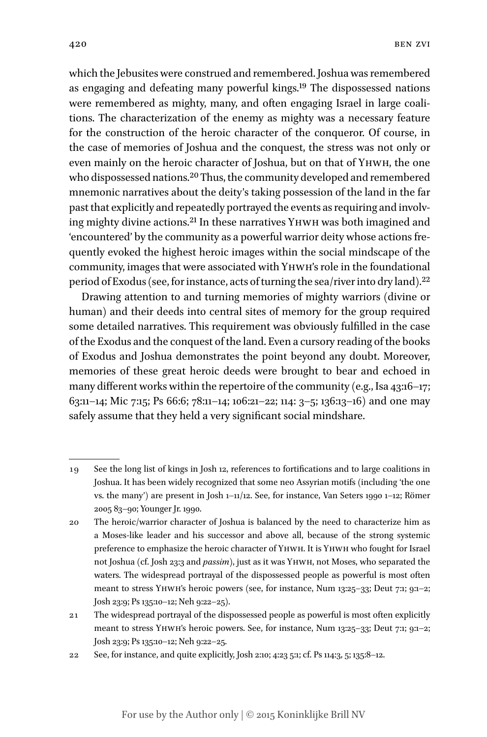which the Jebusites were construed and remembered. Joshua was remembered as engaging and defeating many powerful kings.19 The dispossessed nations were remembered as mighty, many, and often engaging Israel in large coalitions. The characterization of the enemy as mighty was a necessary feature for the construction of the heroic character of the conqueror. Of course, in the case of memories of Joshua and the conquest, the stress was not only or even mainly on the heroic character of Joshua, but on that of YHWH, the one who dispossessed nations.20 Thus, the community developed and remembered mnemonic narratives about the deity's taking possession of the land in the far past that explicitly and repeatedly portrayed the events as requiring and involving mighty divine actions.21 In these narratives Yhwh was both imagined and 'encountered' by the community as a powerful warrior deity whose actions frequently evoked the highest heroic images within the social mindscape of the community, images that were associated with Yhwh's role in the foundational period of Exodus (see, for instance, acts of turning the sea/river into dry land).22

Drawing attention to and turning memories of mighty warriors (divine or human) and their deeds into central sites of memory for the group required some detailed narratives. This requirement was obviously fulfilled in the case of the Exodus and the conquest of the land. Even a cursory reading of the books of Exodus and Joshua demonstrates the point beyond any doubt. Moreover, memories of these great heroic deeds were brought to bear and echoed in many different works within the repertoire of the community (e.g., Isa  $43:16-17$ ; 63:11–14; Mic 7:15; Ps 66:6; 78:11–14; 106:21–22; 114: 3–5; 136:13–16) and one may safely assume that they held a very significant social mindshare.

<sup>19</sup> See the long list of kings in Josh 12, references to fortifications and to large coalitions in Joshua. It has been widely recognized that some neo Assyrian motifs (including 'the one vs. the many') are present in Josh 1–11/12. See, for instance, Van Seters 1990 1–12; Römer 2005 83–90; Younger Jr. 1990.

<sup>20</sup> The heroic/warrior character of Joshua is balanced by the need to characterize him as a Moses-like leader and his successor and above all, because of the strong systemic preference to emphasize the heroic character of Yhwh. It is Yhwh who fought for Israel not Joshua (cf. Josh 23:3 and *passim*), just as it was Yhwh, not Moses, who separated the waters. The widespread portrayal of the dispossessed people as powerful is most often meant to stress YHWH's heroic powers (see, for instance, Num 13:25-33; Deut 7:1; 9:1-2; Josh 23:9; Ps 135:10–12; Neh 9:22–25).

<sup>21</sup> The widespread portrayal of the dispossessed people as powerful is most often explicitly meant to stress YHWH's heroic powers. See, for instance, Num 13:25-33; Deut 7:1; 9:1-2; Josh 23:9; Ps 135:10–12; Neh 9:22–25.

<sup>22</sup> See, for instance, and quite explicitly, Josh 2:10; 4:23 5:1; cf. Ps 114:3, 5; 135:8–12.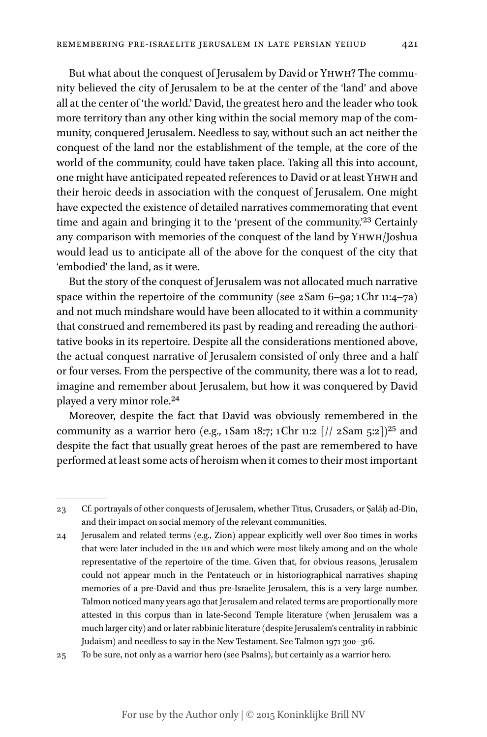But what about the conquest of Jerusalem by David or YHWH? The community believed the city of Jerusalem to be at the center of the 'land' and above all at the center of 'the world.' David, the greatest hero and the leader who took more territory than any other king within the social memory map of the community, conquered Jerusalem. Needless to say, without such an act neither the conquest of the land nor the establishment of the temple, at the core of the world of the community, could have taken place. Taking all this into account, one might have anticipated repeated references to David or at least Yhwh and their heroic deeds in association with the conquest of Jerusalem. One might have expected the existence of detailed narratives commemorating that event time and again and bringing it to the 'present of the community.'23 Certainly any comparison with memories of the conquest of the land by Yhwh/Joshua would lead us to anticipate all of the above for the conquest of the city that 'embodied' the land, as it were.

But the story of the conquest of Jerusalem was not allocated much narrative space within the repertoire of the community (see  $2\,\mathrm{Sam}$  6–9a; 1Chr 11:4–7a) and not much mindshare would have been allocated to it within a community that construed and remembered its past by reading and rereading the authoritative books in its repertoire. Despite all the considerations mentioned above, the actual conquest narrative of Jerusalem consisted of only three and a half or four verses. From the perspective of the community, there was a lot to read, imagine and remember about Jerusalem, but how it was conquered by David played a very minor role.24

Moreover, despite the fact that David was obviously remembered in the community as a warrior hero (e.g., 1Sam 18:7; 1Chr 11:2  $\frac{1}{2}$  2Sam 5:2])<sup>25</sup> and despite the fact that usually great heroes of the past are remembered to have performed at least some acts of heroism when it comes to their most important

<sup>23</sup> Cf. portrayals of other conquests of Jerusalem, whether Titus, Crusaders, or Ṣalāḥ ad-Dīn, and their impact on social memory of the relevant communities.

<sup>24</sup> Jerusalem and related terms (e.g., Zion) appear explicitly well over 800 times in works that were later included in the HB and which were most likely among and on the whole representative of the repertoire of the time. Given that, for obvious reasons, Jerusalem could not appear much in the Pentateuch or in historiographical narratives shaping memories of a pre-David and thus pre-Israelite Jerusalem, this is a very large number. Talmon noticed many years ago that Jerusalem and related terms are proportionally more attested in this corpus than in late-Second Temple literature (when Jerusalem was a much larger city) and or later rabbinic literature (despite Jerusalem's centrality in rabbinic Judaism) and needless to say in the New Testament. See Talmon 1971 300–316.

<sup>25</sup> To be sure, not only as a warrior hero (see Psalms), but certainly as a warrior hero.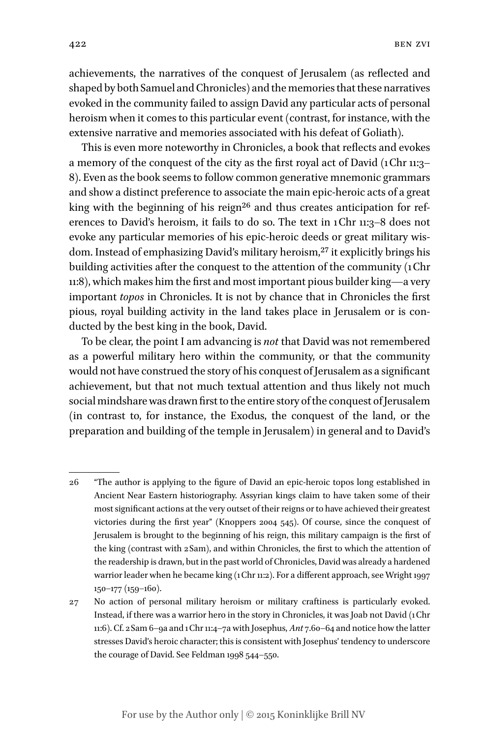achievements, the narratives of the conquest of Jerusalem (as reflected and shaped by both Samuel and Chronicles) and the memories that these narratives evoked in the community failed to assign David any particular acts of personal heroism when it comes to this particular event (contrast, for instance, with the extensive narrative and memories associated with his defeat of Goliath).

This is even more noteworthy in Chronicles, a book that reflects and evokes a memory of the conquest of the city as the first royal act of David (1Chr 11:3– 8). Even as the book seems to follow common generative mnemonic grammars and show a distinct preference to associate the main epic-heroic acts of a great king with the beginning of his reign<sup>26</sup> and thus creates anticipation for references to David's heroism, it fails to do so. The text in 1Chr 11:3–8 does not evoke any particular memories of his epic-heroic deeds or great military wisdom. Instead of emphasizing David's military heroism,<sup>27</sup> it explicitly brings his building activities after the conquest to the attention of the community (1Chr 11:8), which makes him the first and most important pious builder king—a very important *topos* in Chronicles. It is not by chance that in Chronicles the first pious, royal building activity in the land takes place in Jerusalem or is conducted by the best king in the book, David.

To be clear, the point I am advancing is *not* that David was not remembered as a powerful military hero within the community, or that the community would not have construed the story of his conquest of Jerusalem as a significant achievement, but that not much textual attention and thus likely not much social mindshare was drawn first to the entire story of the conquest of Jerusalem (in contrast to, for instance, the Exodus, the conquest of the land, or the preparation and building of the temple in Jerusalem) in general and to David's

<sup>26 &</sup>quot;The author is applying to the figure of David an epic-heroic topos long established in Ancient Near Eastern historiography. Assyrian kings claim to have taken some of their most significant actions at the very outset of their reigns or to have achieved their greatest victories during the first year" (Knoppers 2004 545). Of course, since the conquest of Jerusalem is brought to the beginning of his reign, this military campaign is the first of the king (contrast with 2Sam), and within Chronicles, the first to which the attention of the readership is drawn, but in the past world of Chronicles, David was already a hardened warrior leader when he became king (1Chr 11:2). For a different approach, see Wright 1997 150–177 (159–160).

<sup>27</sup> No action of personal military heroism or military craftiness is particularly evoked. Instead, if there was a warrior hero in the story in Chronicles, it was Joab not David (1Chr 11:6). Cf. 2Sam 6–9a and 1Chr 11:4–7a with Josephus, *Ant* 7.60–64 and notice how the latter stresses David's heroic character; this is consistent with Josephus' tendency to underscore the courage of David. See Feldman 1998 544–550.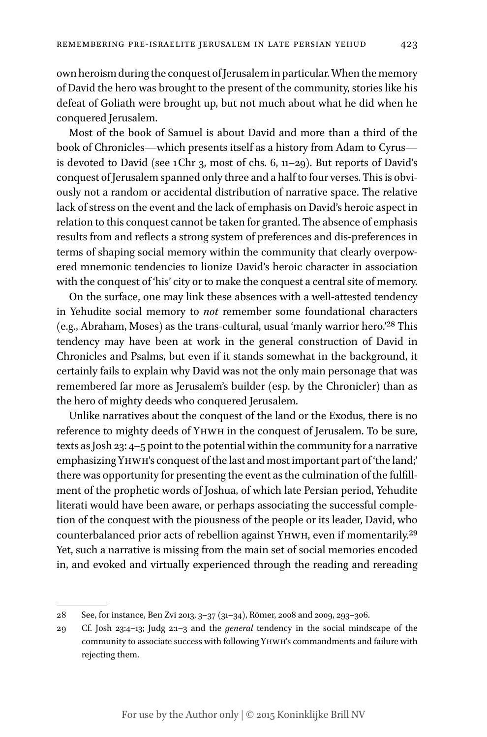own heroism during the conquest of Jerusalem in particular. When the memory of David the hero was brought to the present of the community, stories like his defeat of Goliath were brought up, but not much about what he did when he conquered Jerusalem.

Most of the book of Samuel is about David and more than a third of the book of Chronicles—which presents itself as a history from Adam to Cyrus is devoted to David (see  $1$ Chr 3, most of chs. 6,  $11-29$ ). But reports of David's conquest of Jerusalem spanned only three and a half to four verses. This is obviously not a random or accidental distribution of narrative space. The relative lack of stress on the event and the lack of emphasis on David's heroic aspect in relation to this conquest cannot be taken for granted. The absence of emphasis results from and reflects a strong system of preferences and dis-preferences in terms of shaping social memory within the community that clearly overpowered mnemonic tendencies to lionize David's heroic character in association with the conquest of 'his' city or to make the conquest a central site of memory.

On the surface, one may link these absences with a well-attested tendency in Yehudite social memory to *not* remember some foundational characters (e.g., Abraham, Moses) as the trans-cultural, usual 'manly warrior hero.'28 This tendency may have been at work in the general construction of David in Chronicles and Psalms, but even if it stands somewhat in the background, it certainly fails to explain why David was not the only main personage that was remembered far more as Jerusalem's builder (esp. by the Chronicler) than as the hero of mighty deeds who conquered Jerusalem.

Unlike narratives about the conquest of the land or the Exodus, there is no reference to mighty deeds of Yhwh in the conquest of Jerusalem. To be sure, texts as Josh 23: 4–5 point to the potential within the community for a narrative emphasizing Yhwh's conquest of the last and most important part of 'the land;' there was opportunity for presenting the event as the culmination of the fulfillment of the prophetic words of Joshua, of which late Persian period, Yehudite literati would have been aware, or perhaps associating the successful completion of the conquest with the piousness of the people or its leader, David, who counterbalanced prior acts of rebellion against Yhwh, even if momentarily.29 Yet, such a narrative is missing from the main set of social memories encoded in, and evoked and virtually experienced through the reading and rereading

<sup>28</sup> See, for instance, Ben Zvi 2013, 3–37 (31–34), Römer, 2008 and 2009, 293–306.

<sup>29</sup> Cf. Josh 23:4–13; Judg 2:1–3 and the *general* tendency in the social mindscape of the community to associate success with following YHWH's commandments and failure with rejecting them.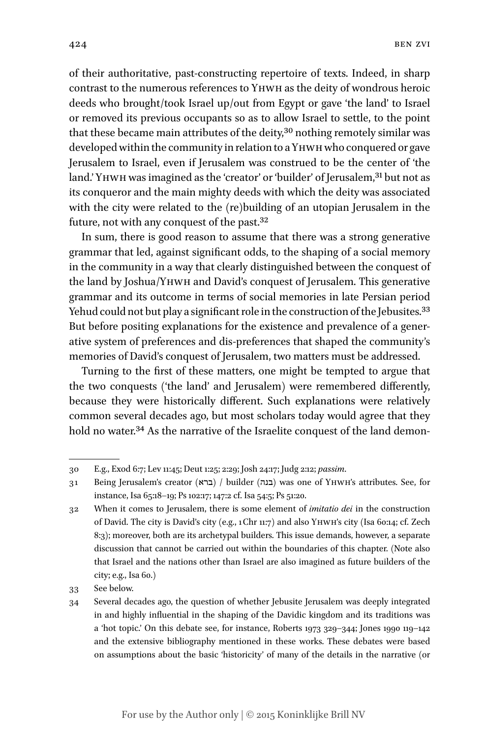of their authoritative, past-constructing repertoire of texts. Indeed, in sharp contrast to the numerous references to Yhwh as the deity of wondrous heroic deeds who brought/took Israel up/out from Egypt or gave 'the land' to Israel or removed its previous occupants so as to allow Israel to settle, to the point that these became main attributes of the deity,<sup>30</sup> nothing remotely similar was developed within the community in relation to a Yhwh who conquered or gave Jerusalem to Israel, even if Jerusalem was construed to be the center of 'the land.' YHWH was imagined as the 'creator' or 'builder' of Jerusalem,<sup>31</sup> but not as its conqueror and the main mighty deeds with which the deity was associated with the city were related to the (re)building of an utopian Jerusalem in the future, not with any conquest of the past.32

In sum, there is good reason to assume that there was a strong generative grammar that led, against significant odds, to the shaping of a social memory in the community in a way that clearly distinguished between the conquest of the land by Joshua/Yhwh and David's conquest of Jerusalem. This generative grammar and its outcome in terms of social memories in late Persian period Yehud could not but play a significant role in the construction of the Jebusites.<sup>33</sup> But before positing explanations for the existence and prevalence of a generative system of preferences and dis-preferences that shaped the community's memories of David's conquest of Jerusalem, two matters must be addressed.

Turning to the first of these matters, one might be tempted to argue that the two conquests ('the land' and Jerusalem) were remembered differently, because they were historically different. Such explanations were relatively common several decades ago, but most scholars today would agree that they hold no water.<sup>34</sup> As the narrative of the Israelite conquest of the land demon-

<sup>30</sup> E.g., Exod 6:7; Lev 11:45; Deut 1:25; 2:29; Josh 24:17; Judg 2:12; *passim*.

<sup>31</sup> Being Jerusalem's creator (בנה) / builder (בנה) was one of YHWH's attributes. See, for instance, Isa 65:18–19; Ps 102:17; 147:2 cf. Isa 54:5; Ps 51:20.

<sup>32</sup> When it comes to Jerusalem, there is some element of *imitatio dei* in the construction of David. The city is David's city (e.g., 1Chr 11:7) and also Yhwh's city (Isa 60:14; cf. Zech 8:3); moreover, both are its archetypal builders. This issue demands, however, a separate discussion that cannot be carried out within the boundaries of this chapter. (Note also that Israel and the nations other than Israel are also imagined as future builders of the city; e.g., Isa 60.)

<sup>33</sup> See below.

<sup>34</sup> Several decades ago, the question of whether Jebusite Jerusalem was deeply integrated in and highly influential in the shaping of the Davidic kingdom and its traditions was a 'hot topic.' On this debate see, for instance, Roberts 1973 329–344; Jones 1990 119–142 and the extensive bibliography mentioned in these works. These debates were based on assumptions about the basic 'historicity' of many of the details in the narrative (or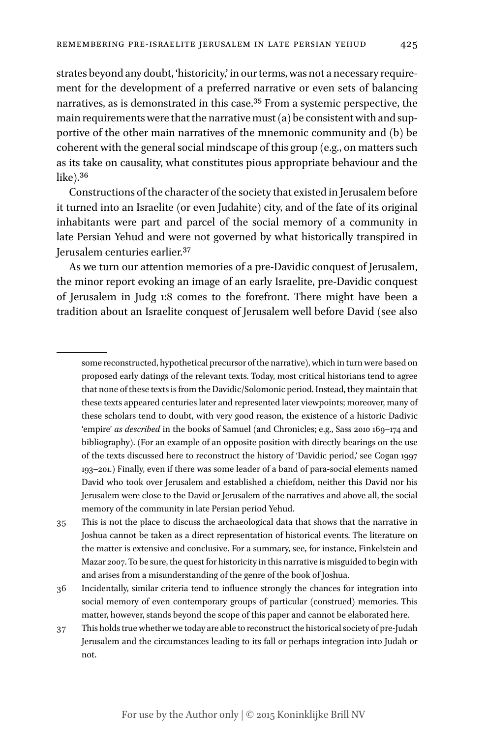strates beyond any doubt, 'historicity,' in our terms, was not a necessary requirement for the development of a preferred narrative or even sets of balancing narratives, as is demonstrated in this case.35 From a systemic perspective, the main requirements were that the narrative must (a) be consistent with and supportive of the other main narratives of the mnemonic community and (b) be coherent with the general social mindscape of this group (e.g., on matters such as its take on causality, what constitutes pious appropriate behaviour and the like).36

Constructions of the character of the society that existed in Jerusalem before it turned into an Israelite (or even Judahite) city, and of the fate of its original inhabitants were part and parcel of the social memory of a community in late Persian Yehud and were not governed by what historically transpired in Jerusalem centuries earlier.37

As we turn our attention memories of a pre-Davidic conquest of Jerusalem, the minor report evoking an image of an early Israelite, pre-Davidic conquest of Jerusalem in Judg 1:8 comes to the forefront. There might have been a tradition about an Israelite conquest of Jerusalem well before David (see also

some reconstructed, hypothetical precursor of the narrative), which in turn were based on proposed early datings of the relevant texts. Today, most critical historians tend to agree that none of these texts is from the Davidic/Solomonic period. Instead, they maintain that these texts appeared centuries later and represented later viewpoints; moreover, many of these scholars tend to doubt, with very good reason, the existence of a historic Dadivic 'empire' *as described* in the books of Samuel (and Chronicles; e.g., Sass 2010 169–174 and bibliography). (For an example of an opposite position with directly bearings on the use of the texts discussed here to reconstruct the history of 'Davidic period,' see Cogan 1997 193–201.) Finally, even if there was some leader of a band of para-social elements named David who took over Jerusalem and established a chiefdom, neither this David nor his Jerusalem were close to the David or Jerusalem of the narratives and above all, the social memory of the community in late Persian period Yehud.

- 35 This is not the place to discuss the archaeological data that shows that the narrative in Joshua cannot be taken as a direct representation of historical events. The literature on the matter is extensive and conclusive. For a summary, see, for instance, Finkelstein and Mazar 2007. To be sure, the quest for historicity in this narrative is misguided to begin with and arises from a misunderstanding of the genre of the book of Joshua.
- 36 Incidentally, similar criteria tend to influence strongly the chances for integration into social memory of even contemporary groups of particular (construed) memories. This matter, however, stands beyond the scope of this paper and cannot be elaborated here.
- 37 This holds true whether we today are able to reconstruct the historical society of pre-Judah Jerusalem and the circumstances leading to its fall or perhaps integration into Judah or not.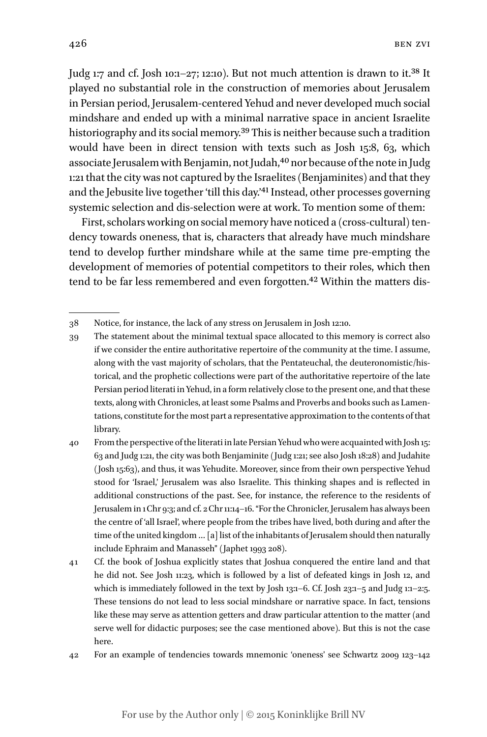Judg 1:7 and cf. Josh 10:1-27; 12:10). But not much attention is drawn to it.<sup>38</sup> It played no substantial role in the construction of memories about Jerusalem in Persian period, Jerusalem-centered Yehud and never developed much social mindshare and ended up with a minimal narrative space in ancient Israelite historiography and its social memory.<sup>39</sup> This is neither because such a tradition would have been in direct tension with texts such as Josh 15:8, 63, which associate Jerusalem with Benjamin, not Judah,<sup>40</sup> nor because of the note in Judg 1:21 that the city was not captured by the Israelites (Benjaminites) and that they and the Jebusite live together 'till this day.'41 Instead, other processes governing systemic selection and dis-selection were at work. To mention some of them:

First, scholars working on social memory have noticed a (cross-cultural) tendency towards oneness, that is, characters that already have much mindshare tend to develop further mindshare while at the same time pre-empting the development of memories of potential competitors to their roles, which then tend to be far less remembered and even forgotten.42 Within the matters dis-

<sup>38</sup> Notice, for instance, the lack of any stress on Jerusalem in Josh 12:10.

<sup>39</sup> The statement about the minimal textual space allocated to this memory is correct also if we consider the entire authoritative repertoire of the community at the time. I assume, along with the vast majority of scholars, that the Pentateuchal, the deuteronomistic/historical, and the prophetic collections were part of the authoritative repertoire of the late Persian period literati in Yehud, in a form relatively close to the present one, and that these texts, along with Chronicles, at least some Psalms and Proverbs and books such as Lamentations, constitute for the most part a representative approximation to the contents of that library.

<sup>40</sup> From the perspective of the literati in late Persian Yehudwhowere acquaintedwithJosh15: 63 and Judg 1:21, the city was both Benjaminite (Judg 1:21; see also Josh 18:28) and Judahite (Josh 15:63), and thus, it was Yehudite. Moreover, since from their own perspective Yehud stood for 'Israel,' Jerusalem was also Israelite. This thinking shapes and is reflected in additional constructions of the past. See, for instance, the reference to the residents of Jerusalem in 1Chr 9:3; and cf. 2Chr 11:14–16. "For the Chronicler, Jerusalem has always been the centre of 'all Israel', where people from the tribes have lived, both during and after the time of the united kingdom … [a] list of the inhabitants of Jerusalem should then naturally include Ephraim and Manasseh" (Japhet 1993 208).

<sup>41</sup> Cf. the book of Joshua explicitly states that Joshua conquered the entire land and that he did not. See Josh 11:23, which is followed by a list of defeated kings in Josh 12, and which is immediately followed in the text by Josh 13:1–6. Cf. Josh 23:1–5 and Judg 1:1–2:5. These tensions do not lead to less social mindshare or narrative space. In fact, tensions like these may serve as attention getters and draw particular attention to the matter (and serve well for didactic purposes; see the case mentioned above). But this is not the case here.

<sup>42</sup> For an example of tendencies towards mnemonic 'oneness' see Schwartz 2009 123–142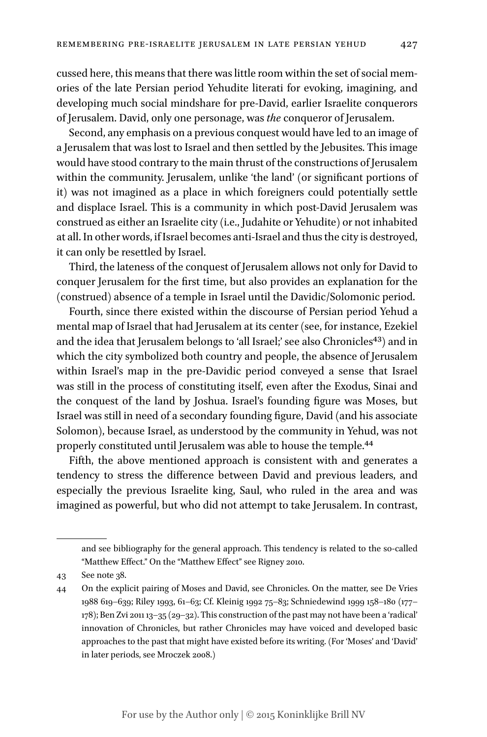cussed here, this means that there was little room within the set of social memories of the late Persian period Yehudite literati for evoking, imagining, and developing much social mindshare for pre-David, earlier Israelite conquerors of Jerusalem. David, only one personage, was *the* conqueror of Jerusalem.

Second, any emphasis on a previous conquest would have led to an image of a Jerusalem that was lost to Israel and then settled by the Jebusites. This image would have stood contrary to the main thrust of the constructions of Jerusalem within the community. Jerusalem, unlike 'the land' (or significant portions of it) was not imagined as a place in which foreigners could potentially settle and displace Israel. This is a community in which post-David Jerusalem was construed as either an Israelite city (i.e., Judahite or Yehudite) or not inhabited at all. In other words, if Israel becomes anti-Israel and thus the city is destroyed, it can only be resettled by Israel.

Third, the lateness of the conquest of Jerusalem allows not only for David to conquer Jerusalem for the first time, but also provides an explanation for the (construed) absence of a temple in Israel until the Davidic/Solomonic period.

Fourth, since there existed within the discourse of Persian period Yehud a mental map of Israel that had Jerusalem at its center (see, for instance, Ezekiel and the idea that Jerusalem belongs to 'all Israel;' see also Chronicles<sup>43</sup>) and in which the city symbolized both country and people, the absence of Jerusalem within Israel's map in the pre-Davidic period conveyed a sense that Israel was still in the process of constituting itself, even after the Exodus, Sinai and the conquest of the land by Joshua. Israel's founding figure was Moses, but Israel was still in need of a secondary founding figure, David (and his associate Solomon), because Israel, as understood by the community in Yehud, was not properly constituted until Jerusalem was able to house the temple.<sup>44</sup>

Fifth, the above mentioned approach is consistent with and generates a tendency to stress the difference between David and previous leaders, and especially the previous Israelite king, Saul, who ruled in the area and was imagined as powerful, but who did not attempt to take Jerusalem. In contrast,

and see bibliography for the general approach. This tendency is related to the so-called "Matthew Effect." On the "Matthew Effect" see Rigney 2010.

<sup>43</sup> See note 38.

<sup>44</sup> On the explicit pairing of Moses and David, see Chronicles. On the matter, see De Vries 1988 619–639; Riley 1993, 61–63; Cf. Kleinig 1992 75–83; Schniedewind 1999 158–180 (177– 178); Ben Zvi 2011 13–35 (29–32). This construction of the past may not have been a 'radical' innovation of Chronicles, but rather Chronicles may have voiced and developed basic approaches to the past that might have existed before its writing. (For 'Moses' and 'David' in later periods, see Mroczek 2008.)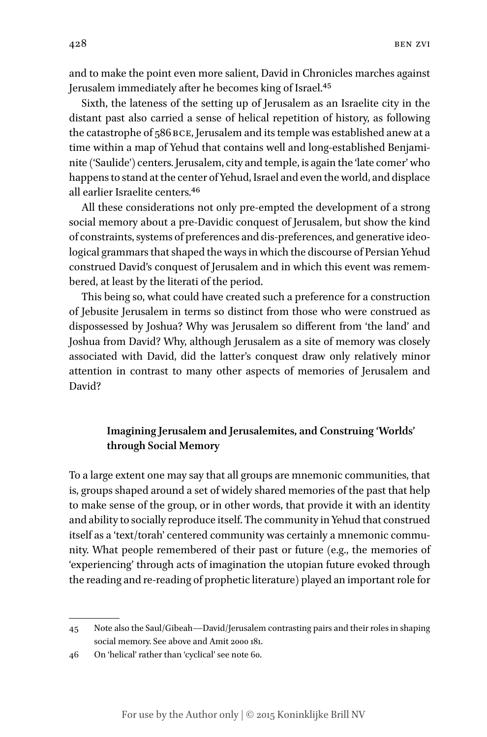and to make the point even more salient, David in Chronicles marches against Jerusalem immediately after he becomes king of Israel.45

Sixth, the lateness of the setting up of Jerusalem as an Israelite city in the distant past also carried a sense of helical repetition of history, as following the catastrophe of 586 BCE, Jerusalem and its temple was established anew at a time within a map of Yehud that contains well and long-established Benjaminite ('Saulide') centers. Jerusalem, city and temple, is again the 'late comer' who happens to stand at the center of Yehud, Israel and even the world, and displace all earlier Israelite centers.46

All these considerations not only pre-empted the development of a strong social memory about a pre-Davidic conquest of Jerusalem, but show the kind of constraints, systems of preferences and dis-preferences, and generative ideological grammars that shaped the ways in which the discourse of Persian Yehud construed David's conquest of Jerusalem and in which this event was remembered, at least by the literati of the period.

This being so, what could have created such a preference for a construction of Jebusite Jerusalem in terms so distinct from those who were construed as dispossessed by Joshua? Why was Jerusalem so different from 'the land' and Joshua from David? Why, although Jerusalem as a site of memory was closely associated with David, did the latter's conquest draw only relatively minor attention in contrast to many other aspects of memories of Jerusalem and David?

#### **Imagining Jerusalem and Jerusalemites, and Construing 'Worlds' through Social Memory**

To a large extent one may say that all groups are mnemonic communities, that is, groups shaped around a set of widely shared memories of the past that help to make sense of the group, or in other words, that provide it with an identity and ability to socially reproduce itself. The community in Yehud that construed itself as a 'text/torah' centered community was certainly a mnemonic community. What people remembered of their past or future (e.g., the memories of 'experiencing' through acts of imagination the utopian future evoked through the reading and re-reading of prophetic literature) played an important role for

<sup>45</sup> Note also the Saul/Gibeah—David/Jerusalem contrasting pairs and their roles in shaping social memory. See above and Amit 2000 181.

<sup>46</sup> On 'helical' rather than 'cyclical' see note 60.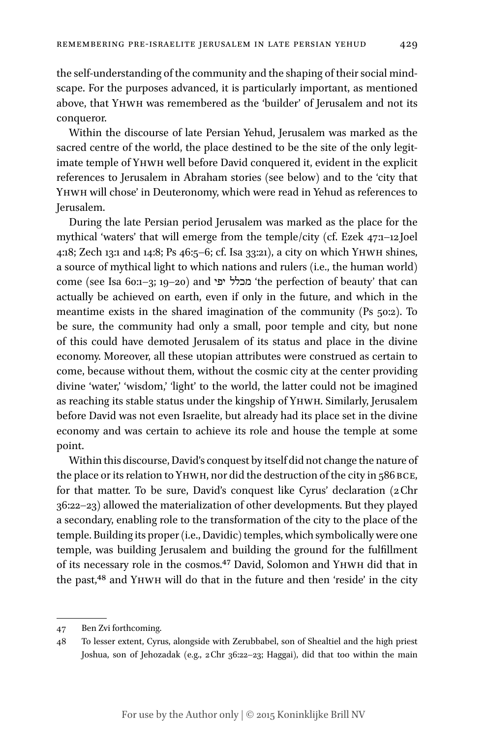the self-understanding of the community and the shaping of their social mindscape. For the purposes advanced, it is particularly important, as mentioned above, that Yhwh was remembered as the 'builder' of Jerusalem and not its conqueror.

Within the discourse of late Persian Yehud, Jerusalem was marked as the sacred centre of the world, the place destined to be the site of the only legitimate temple of Yhwh well before David conquered it, evident in the explicit references to Jerusalem in Abraham stories (see below) and to the 'city that Yhwh will chose' in Deuteronomy, which were read in Yehud as references to Jerusalem.

During the late Persian period Jerusalem was marked as the place for the mythical 'waters' that will emerge from the temple/city (cf. Ezek 47:1–12Joel 4:18; Zech 13:1 and 14:8; Ps 46:5–6; cf. Isa 33:21), a city on which Yhwh shines, a source of mythical light to which nations and rulers (i.e., the human world) come (see Isa 60:1–3; 19–20) and מכלל יפי the perfection of beauty' that can actually be achieved on earth, even if only in the future, and which in the meantime exists in the shared imagination of the community (Ps 50:2). To be sure, the community had only a small, poor temple and city, but none of this could have demoted Jerusalem of its status and place in the divine economy. Moreover, all these utopian attributes were construed as certain to come, because without them, without the cosmic city at the center providing divine 'water,' 'wisdom,' 'light' to the world, the latter could not be imagined as reaching its stable status under the kingship of Yhwh. Similarly, Jerusalem before David was not even Israelite, but already had its place set in the divine economy and was certain to achieve its role and house the temple at some point.

Within this discourse, David's conquest by itself did not change the nature of the place or its relation to YHWH, nor did the destruction of the city in 586 BCE, for that matter. To be sure, David's conquest like Cyrus' declaration (2Chr 36:22–23) allowed the materialization of other developments. But they played a secondary, enabling role to the transformation of the city to the place of the temple. Building its proper (i.e., Davidic) temples, which symbolically were one temple, was building Jerusalem and building the ground for the fulfillment of its necessary role in the cosmos.47 David, Solomon and Yhwh did that in the past,48 and Yhwh will do that in the future and then 'reside' in the city

<sup>47</sup> Ben Zvi forthcoming.

<sup>48</sup> To lesser extent, Cyrus, alongside with Zerubbabel, son of Shealtiel and the high priest Joshua, son of Jehozadak (e.g., 2Chr 36:22–23; Haggai), did that too within the main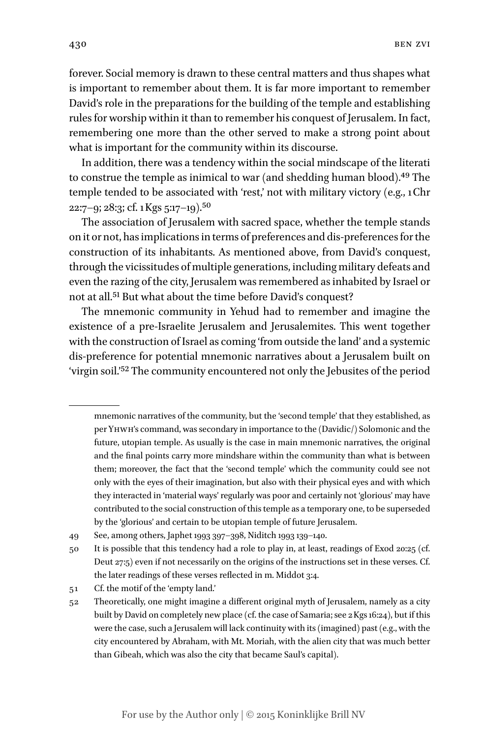forever. Social memory is drawn to these central matters and thus shapes what is important to remember about them. It is far more important to remember David's role in the preparations for the building of the temple and establishing rules for worship within it than to remember his conquest of Jerusalem. In fact, remembering one more than the other served to make a strong point about what is important for the community within its discourse.

In addition, there was a tendency within the social mindscape of the literati to construe the temple as inimical to war (and shedding human blood).49 The temple tended to be associated with 'rest,' not with military victory (e.g., 1Chr  $22:7-9$ ;  $28:3$ ; cf. 1 Kgs  $5:17-19$ ).<sup>50</sup>

The association of Jerusalem with sacred space, whether the temple stands on it or not, has implications in terms of preferences and dis-preferences for the construction of its inhabitants. As mentioned above, from David's conquest, through the vicissitudes of multiple generations, including military defeats and even the razing of the city, Jerusalem was remembered as inhabited by Israel or not at all.51 But what about the time before David's conquest?

The mnemonic community in Yehud had to remember and imagine the existence of a pre-Israelite Jerusalem and Jerusalemites. This went together with the construction of Israel as coming 'from outside the land' and a systemic dis-preference for potential mnemonic narratives about a Jerusalem built on 'virgin soil.'52 The community encountered not only the Jebusites of the period

49 See, among others, Japhet 1993 397–398, Niditch 1993 139–140.

mnemonic narratives of the community, but the 'second temple' that they established, as per Yhwh's command, was secondary in importance to the (Davidic/) Solomonic and the future, utopian temple. As usually is the case in main mnemonic narratives, the original and the final points carry more mindshare within the community than what is between them; moreover, the fact that the 'second temple' which the community could see not only with the eyes of their imagination, but also with their physical eyes and with which they interacted in 'material ways' regularly was poor and certainly not 'glorious' may have contributed to the social construction of this temple as a temporary one, to be superseded by the 'glorious' and certain to be utopian temple of future Jerusalem.

<sup>50</sup> It is possible that this tendency had a role to play in, at least, readings of Exod 20:25 (cf. Deut 27:5) even if not necessarily on the origins of the instructions set in these verses. Cf. the later readings of these verses reflected in m. Middot 3:4.

<sup>51</sup> Cf. the motif of the 'empty land.'

<sup>52</sup> Theoretically, one might imagine a different original myth of Jerusalem, namely as a city built by David on completely new place (cf. the case of Samaria; see 2Kgs 16:24), but if this were the case, such a Jerusalem will lack continuity with its (imagined) past (e.g., with the city encountered by Abraham, with Mt. Moriah, with the alien city that was much better than Gibeah, which was also the city that became Saul's capital).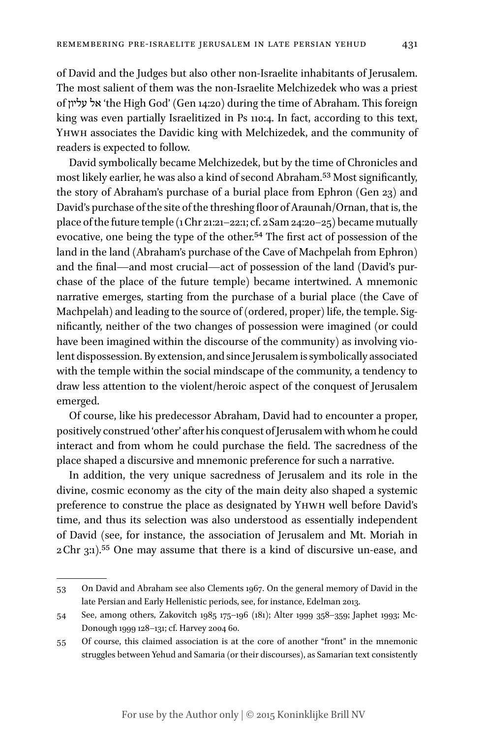of David and the Judges but also other non-Israelite inhabitants of Jerusalem. The most salient of them was the non-Israelite Melchizedek who was a priest of ןוילעלא' the High God' (Gen 14:20) during the time of Abraham. This foreign king was even partially Israelitized in Ps 110:4. In fact, according to this text, Yhwh associates the Davidic king with Melchizedek, and the community of readers is expected to follow.

David symbolically became Melchizedek, but by the time of Chronicles and most likely earlier, he was also a kind of second Abraham.53 Most significantly, the story of Abraham's purchase of a burial place from Ephron (Gen 23) and David's purchase of the site of the threshing floor of Araunah/Ornan, that is, the place of the future temple (1Chr 21:21–22:1; cf. 2Sam 24:20–25) became mutually evocative, one being the type of the other.54 The first act of possession of the land in the land (Abraham's purchase of the Cave of Machpelah from Ephron) and the final—and most crucial—act of possession of the land (David's purchase of the place of the future temple) became intertwined. A mnemonic narrative emerges, starting from the purchase of a burial place (the Cave of Machpelah) and leading to the source of (ordered, proper) life, the temple. Significantly, neither of the two changes of possession were imagined (or could have been imagined within the discourse of the community) as involving violent dispossession. By extension, and since Jerusalem is symbolically associated with the temple within the social mindscape of the community, a tendency to draw less attention to the violent/heroic aspect of the conquest of Jerusalem emerged.

Of course, like his predecessor Abraham, David had to encounter a proper, positively construed 'other' after his conquest ofJerusalem with whom he could interact and from whom he could purchase the field. The sacredness of the place shaped a discursive and mnemonic preference for such a narrative.

In addition, the very unique sacredness of Jerusalem and its role in the divine, cosmic economy as the city of the main deity also shaped a systemic preference to construe the place as designated by Yhwh well before David's time, and thus its selection was also understood as essentially independent of David (see, for instance, the association of Jerusalem and Mt. Moriah in 2Chr 3:1).55 One may assume that there is a kind of discursive un-ease, and

<sup>53</sup> On David and Abraham see also Clements 1967. On the general memory of David in the late Persian and Early Hellenistic periods, see, for instance, Edelman 2013.

<sup>54</sup> See, among others, Zakovitch 1985 175–196 (181); Alter 1999 358–359; Japhet 1993; Mc-Donough 1999 128–131; cf. Harvey 2004 60.

<sup>55</sup> Of course, this claimed association is at the core of another "front" in the mnemonic struggles between Yehud and Samaria (or their discourses), as Samarian text consistently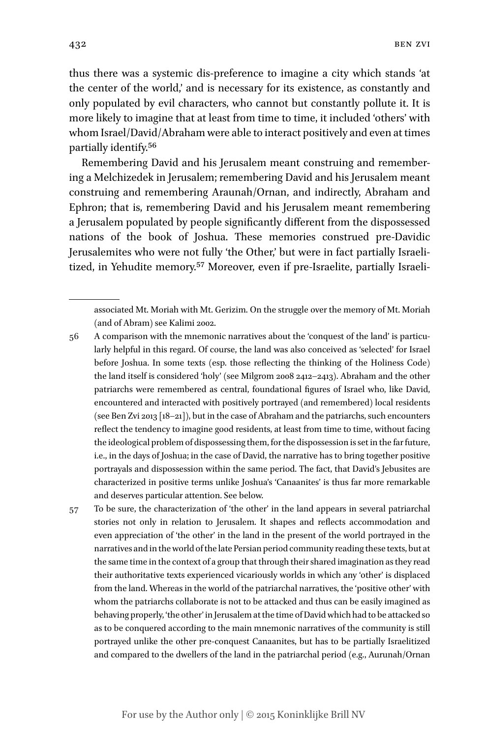thus there was a systemic dis-preference to imagine a city which stands 'at the center of the world,' and is necessary for its existence, as constantly and only populated by evil characters, who cannot but constantly pollute it. It is more likely to imagine that at least from time to time, it included 'others' with whom Israel/David/Abraham were able to interact positively and even at times partially identify.56

Remembering David and his Jerusalem meant construing and remembering a Melchizedek in Jerusalem; remembering David and his Jerusalem meant construing and remembering Araunah/Ornan, and indirectly, Abraham and Ephron; that is, remembering David and his Jerusalem meant remembering a Jerusalem populated by people significantly different from the dispossessed nations of the book of Joshua. These memories construed pre-Davidic Jerusalemites who were not fully 'the Other,' but were in fact partially Israelitized, in Yehudite memory.57 Moreover, even if pre-Israelite, partially Israeli-

- 56 A comparison with the mnemonic narratives about the 'conquest of the land' is particularly helpful in this regard. Of course, the land was also conceived as 'selected' for Israel before Joshua. In some texts (esp. those reflecting the thinking of the Holiness Code) the land itself is considered 'holy' (see Milgrom 2008 2412–2413). Abraham and the other patriarchs were remembered as central, foundational figures of Israel who, like David, encountered and interacted with positively portrayed (and remembered) local residents (see Ben Zvi 2013 [18–21]), but in the case of Abraham and the patriarchs, such encounters reflect the tendency to imagine good residents, at least from time to time, without facing the ideological problem of dispossessing them, for the dispossession is set in the far future, i.e., in the days of Joshua; in the case of David, the narrative has to bring together positive portrayals and dispossession within the same period. The fact, that David's Jebusites are characterized in positive terms unlike Joshua's 'Canaanites' is thus far more remarkable and deserves particular attention. See below.
- 57 To be sure, the characterization of 'the other' in the land appears in several patriarchal stories not only in relation to Jerusalem. It shapes and reflects accommodation and even appreciation of 'the other' in the land in the present of the world portrayed in the narratives and in theworld of the late Persian period community reading these texts, but at the same time in the context of a group that through their shared imagination as they read their authoritative texts experienced vicariously worlds in which any 'other' is displaced from the land. Whereas in the world of the patriarchal narratives, the 'positive other' with whom the patriarchs collaborate is not to be attacked and thus can be easily imagined as behaving properly, 'the other' inJerusalem at the time of David which had to be attacked so as to be conquered according to the main mnemonic narratives of the community is still portrayed unlike the other pre-conquest Canaanites, but has to be partially Israelitized and compared to the dwellers of the land in the patriarchal period (e.g., Aurunah/Ornan

associated Mt. Moriah with Mt. Gerizim. On the struggle over the memory of Mt. Moriah (and of Abram) see Kalimi 2002.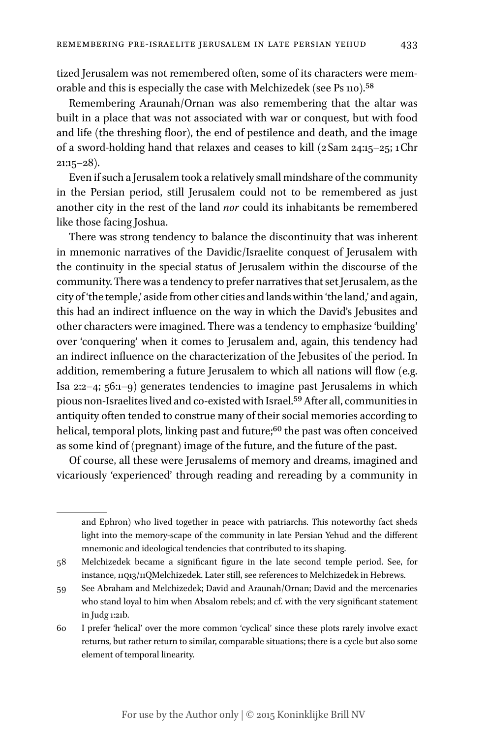tized Jerusalem was not remembered often, some of its characters were memorable and this is especially the case with Melchizedek (see Ps 110).<sup>58</sup>

Remembering Araunah/Ornan was also remembering that the altar was built in a place that was not associated with war or conquest, but with food and life (the threshing floor), the end of pestilence and death, and the image of a sword-holding hand that relaxes and ceases to kill (2Sam 24:15–25; 1Chr 21:15–28).

Even if such a Jerusalem took a relatively small mindshare of the community in the Persian period, still Jerusalem could not to be remembered as just another city in the rest of the land *nor* could its inhabitants be remembered like those facing Joshua.

There was strong tendency to balance the discontinuity that was inherent in mnemonic narratives of the Davidic/Israelite conquest of Jerusalem with the continuity in the special status of Jerusalem within the discourse of the community. There was a tendency to prefer narratives that set Jerusalem, as the city of 'the temple,' aside from other cities and lands within 'the land,' and again, this had an indirect influence on the way in which the David's Jebusites and other characters were imagined. There was a tendency to emphasize 'building' over 'conquering' when it comes to Jerusalem and, again, this tendency had an indirect influence on the characterization of the Jebusites of the period. In addition, remembering a future Jerusalem to which all nations will flow (e.g. Isa 2:2–4; 56:1–9) generates tendencies to imagine past Jerusalems in which pious non-Israelites lived and co-existed with Israel.<sup>59</sup> After all, communities in antiquity often tended to construe many of their social memories according to helical, temporal plots, linking past and future;<sup>60</sup> the past was often conceived as some kind of (pregnant) image of the future, and the future of the past.

Of course, all these were Jerusalems of memory and dreams, imagined and vicariously 'experienced' through reading and rereading by a community in

and Ephron) who lived together in peace with patriarchs. This noteworthy fact sheds light into the memory-scape of the community in late Persian Yehud and the different mnemonic and ideological tendencies that contributed to its shaping.

<sup>58</sup> Melchizedek became a significant figure in the late second temple period. See, for instance, 11q13/11QMelchizedek. Later still, see references to Melchizedek in Hebrews.

<sup>59</sup> See Abraham and Melchizedek; David and Araunah/Ornan; David and the mercenaries who stand loyal to him when Absalom rebels; and cf. with the very significant statement in Judg 1:21b.

<sup>60</sup> I prefer 'helical' over the more common 'cyclical' since these plots rarely involve exact returns, but rather return to similar, comparable situations; there is a cycle but also some element of temporal linearity.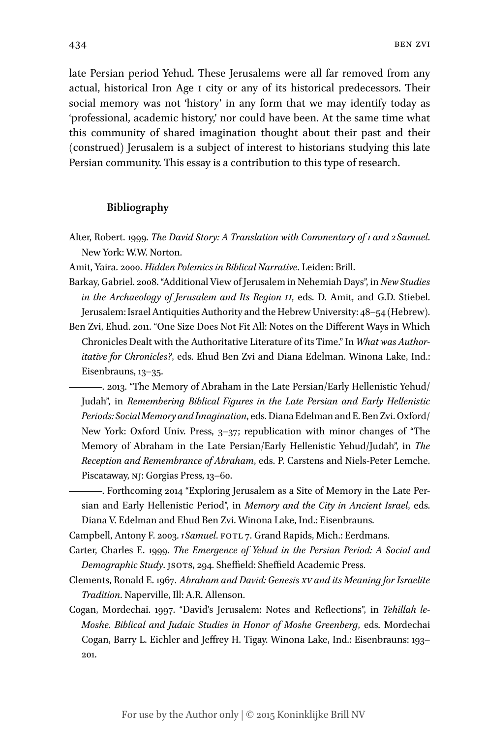late Persian period Yehud. These Jerusalems were all far removed from any actual, historical Iron Age i city or any of its historical predecessors. Their social memory was not 'history' in any form that we may identify today as 'professional, academic history,' nor could have been. At the same time what this community of shared imagination thought about their past and their (construed) Jerusalem is a subject of interest to historians studying this late Persian community. This essay is a contribution to this type of research.

#### **Bibliography**

- Alter, Robert. 1999. *The David Story: A Translation with Commentary of 1 and 2Samuel*. New York: W.W. Norton.
- Amit, Yaira. 2000. *Hidden Polemics in Biblical Narrative*. Leiden: Brill.
- Barkay, Gabriel. 2008. "Additional View of Jerusalem in Nehemiah Days", in *New Studies in the Archaeology of Jerusalem and Its Region ii*, eds. D. Amit, and G.D. Stiebel. Jerusalem: Israel Antiquities Authority and the Hebrew University: 48–54 (Hebrew).
- Ben Zvi, Ehud. 2011. "One Size Does Not Fit All: Notes on the Different Ways in Which Chronicles Dealt with the Authoritative Literature of its Time." In *What was Authoritative for Chronicles?*, eds. Ehud Ben Zvi and Diana Edelman. Winona Lake, Ind.: Eisenbrauns, 13–35.
	- . 2013. "The Memory of Abraham in the Late Persian/Early Hellenistic Yehud/ Judah", in *Remembering Biblical Figures in the Late Persian and Early Hellenistic Periods: SocialMemory andImagination*, eds. Diana Edelman and E. Ben Zvi. Oxford/ New York: Oxford Univ. Press, 3-37; republication with minor changes of "The Memory of Abraham in the Late Persian/Early Hellenistic Yehud/Judah", in *The Reception and Remembrance of Abraham*, eds. P. Carstens and Niels-Peter Lemche. Piscataway, nj: Gorgias Press, 13–60.
	- . Forthcoming 2014 "Exploring Jerusalem as a Site of Memory in the Late Persian and Early Hellenistic Period", in *Memory and the City in Ancient Israel*, eds. Diana V. Edelman and Ehud Ben Zvi. Winona Lake, Ind.: Eisenbrauns.

Campbell, Antony F. 2003. *1 Samuel*. FOTL 7. Grand Rapids, Mich.: Eerdmans.

- Carter, Charles E. 1999. *The Emergence of Yehud in the Persian Period: A Social and Demographic Study*. jsots, 294. Sheffield: Sheffield Academic Press.
- Clements, Ronald E. 1967. *Abraham and David: Genesis xv and its Meaning for Israelite Tradition*. Naperville, Ill: A.R. Allenson.
- Cogan, Mordechai. 1997. "David's Jerusalem: Notes and Reflections", in *Tehillah le-Moshe. Biblical and Judaic Studies in Honor of Moshe Greenberg*, eds. Mordechai Cogan, Barry L. Eichler and Jeffrey H. Tigay. Winona Lake, Ind.: Eisenbrauns: 193– 201.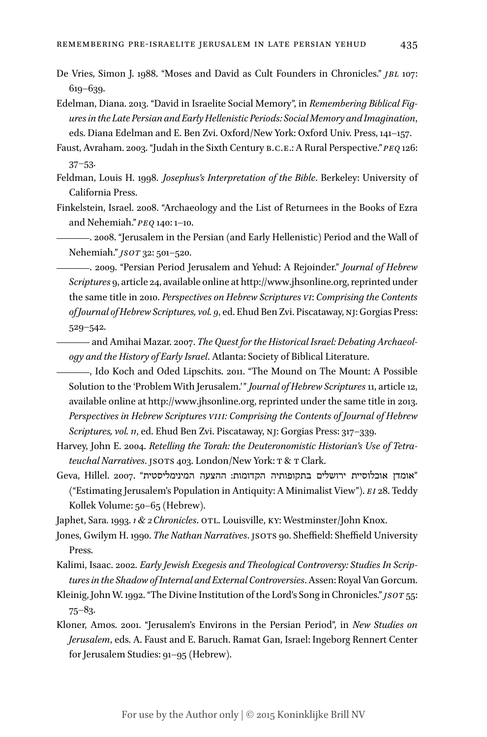- De Vries, Simon J. 1988. "Moses and David as Cult Founders in Chronicles." *jbl* 107: 619–639.
- Edelman, Diana. 2013. "David in Israelite Social Memory", in *Remembering Biblical Figures inthe Late Persian and Early Hellenistic Periods: Social Memory andImagination*, eds. Diana Edelman and E. Ben Zvi. Oxford/New York: Oxford Univ. Press, 141–157.

Faust, Avraham. 2003. "Judah in the Sixth Century b.c.e.: A Rural Perspective."*peq* 126: 37–53.

- Feldman, Louis H. 1998. *Josephus's Interpretation of the Bible*. Berkeley: University of California Press.
- Finkelstein, Israel. 2008. "Archaeology and the List of Returnees in the Books of Ezra and Nehemiah." *peq* 140: 1–10.

. 2008. "Jerusalem in the Persian (and Early Hellenistic) Period and the Wall of Nehemiah." *jsot* 32: 501–520.

. 2009. "Persian Period Jerusalem and Yehud: A Rejoinder." *Journal of Hebrew Scriptures* 9, article 24, available onlineat<http://www.jhsonline.org>, reprinted under the same title in 2010. *Perspectives on Hebrew Scriptures vi*: *Comprising the Contents of Journal of Hebrew Scriptures, vol. 9*, ed. Ehud Ben Zvi. Piscataway, nj: Gorgias Press: 529–542.

and Amihai Mazar. 2007. *The Quest for the Historical Israel: Debating Archaeology and the History of Early Israel*. Atlanta: Society of Biblical Literature.

, Ido Koch and Oded Lipschits. 2011. "The Mound on The Mount: A Possible Solution to the 'Problem With Jerusalem.'" *Journal of Hebrew Scriptures* 11, article 12, available onlineat [http://www.jhsonline.org,](http://www.jhsonline.org) reprinted under the same title in 2013. *Perspectives in Hebrew Scriptures viii: Comprising the Contents of Journal of Hebrew Scriptures, vol. 11*, ed. Ehud Ben Zvi. Piscataway, nj: Gorgias Press: 317–339.

- Harvey, John E. 2004. *Retelling the Torah: the Deuteronomistic Historian's Use of Tetrateuchal Narratives.* JSOTS 403. London/New York: T & T Clark.
- Geva, Hillel. 2007. "אומדן אוכלוסיית ירושלים בתקופותיה הקדומות: ההצעה המינימליסטית ("Estimating Jerusalem's Population in Antiquity: A Minimalist View"). *ei* 28. Teddy Kollek Volume: 50–65 (Hebrew).

Japhet, Sara. 1993. *1 & 2 Chronicles*. OTL. Louisville, KY: Westminster/John Knox.

- Jones, Gwilym H. 1990. *The Nathan Narratives*. jsots 90. Sheffield: Sheffield University Press.
- Kalimi, Isaac. 2002. *Early Jewish Exegesis and Theological Controversy: Studies In Scriptures in the Shadow of Internal and External Controversies*. Assen: Royal Van Gorcum.
- Kleinig, John W. 1992. "The Divine Institution of the Lord's Song in Chronicles." *jsot* 55: 75–83.
- Kloner, Amos. 2001. "Jerusalem's Environs in the Persian Period", in *New Studies on Jerusalem*, eds. A. Faust and E. Baruch. Ramat Gan, Israel: Ingeborg Rennert Center for Jerusalem Studies: 91–95 (Hebrew).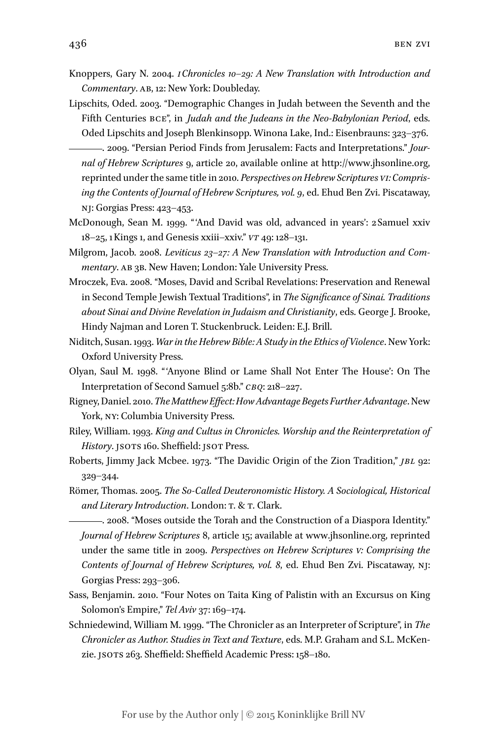- Knoppers, Gary N. 2004. *iChronicles 10–29: A New Translation with Introduction and* Commentary. AB, 12: New York: Doubleday.
- Lipschits, Oded. 2003. "Demographic Changes in Judah between the Seventh and the Fifth Centuries bce", in *Judah and the Judeans in the Neo-Babylonian Period*, eds. Oded Lipschits and Joseph Blenkinsopp. Winona Lake, Ind.: Eisenbrauns: 323–376.

. 2009. "Persian Period Finds from Jerusalem: Facts and Interpretations." *Journal of Hebrew Scriptures* 9, article 20, available onlineat<http://www.jhsonline.org>, reprinted under the same title in 2010. *Perspectives on Hebrew Scriptures vi: Comprising the Contents of Journal of Hebrew Scriptures, vol. 9*, ed. Ehud Ben Zvi. Piscataway, nj: Gorgias Press: 423–453.

- McDonough, Sean M. 1999. " 'And David was old, advanced in years': 2Samuel xxiv 18–25, 1Kings 1, and Genesis xxiii–xxiv." *vt* 49: 128–131.
- Milgrom, Jacob. 2008. *Leviticus 23–27: A New Translation with Introduction and Commentary*. AB 3B. New Haven; London: Yale University Press.
- Mroczek, Eva. 2008. "Moses, David and Scribal Revelations: Preservation and Renewal in Second Temple Jewish Textual Traditions", in *The Significance of Sinai. Traditions about Sinai and Divine Revelation in Judaism and Christianity*, eds. George J. Brooke, Hindy Najman and Loren T. Stuckenbruck. Leiden: E.J. Brill.
- Niditch, Susan. 1993. *War in the Hebrew Bible: A Study in the Ethics of Violence*. New York: Oxford University Press.
- Olyan, Saul M. 1998. " 'Anyone Blind or Lame Shall Not Enter The House': On The Interpretation of Second Samuel 5:8b." *cbq*: 218–227.
- Rigney, Daniel. 2010. *TheMatthew Effect:How Advantage Begets Further Advantage*. New York, ny: Columbia University Press.
- Riley, William. 1993. *King and Cultus in Chronicles. Worship and the Reinterpretation of* History. JSOTS 160. Sheffield: JSOT Press.
- Roberts, Jimmy Jack Mcbee. 1973. "The Davidic Origin of the Zion Tradition," *jbl* 92: 329–344.
- Römer, Thomas. 2005. *The So-Called Deuteronomistic History. A Sociological, Historical* and Literary Introduction. London: T. & T. Clark.

. 2008. "Moses outside the Torah and the Construction of a Diaspora Identity." *Journal of Hebrew Scriptures* 8, article 15; availableat [www.jhsonline.org](http://www.jhsonline.org), reprinted under the same title in 2009. *Perspectives on Hebrew Scriptures v: Comprising the Contents of Journal of Hebrew Scriptures, vol. 8*, ed. Ehud Ben Zvi. Piscataway, nj: Gorgias Press: 293–306.

- Sass, Benjamin. 2010. "Four Notes on Taita King of Palistin with an Excursus on King Solomon's Empire," *Tel Aviv* 37: 169–174.
- Schniedewind, William M. 1999. "The Chronicler as an Interpreter of Scripture", in *The Chronicler as Author. Studies in Text and Texture*, eds. M.P. Graham and S.L. McKenzie. jsots 263. Sheffield: Sheffield Academic Press: 158–180.